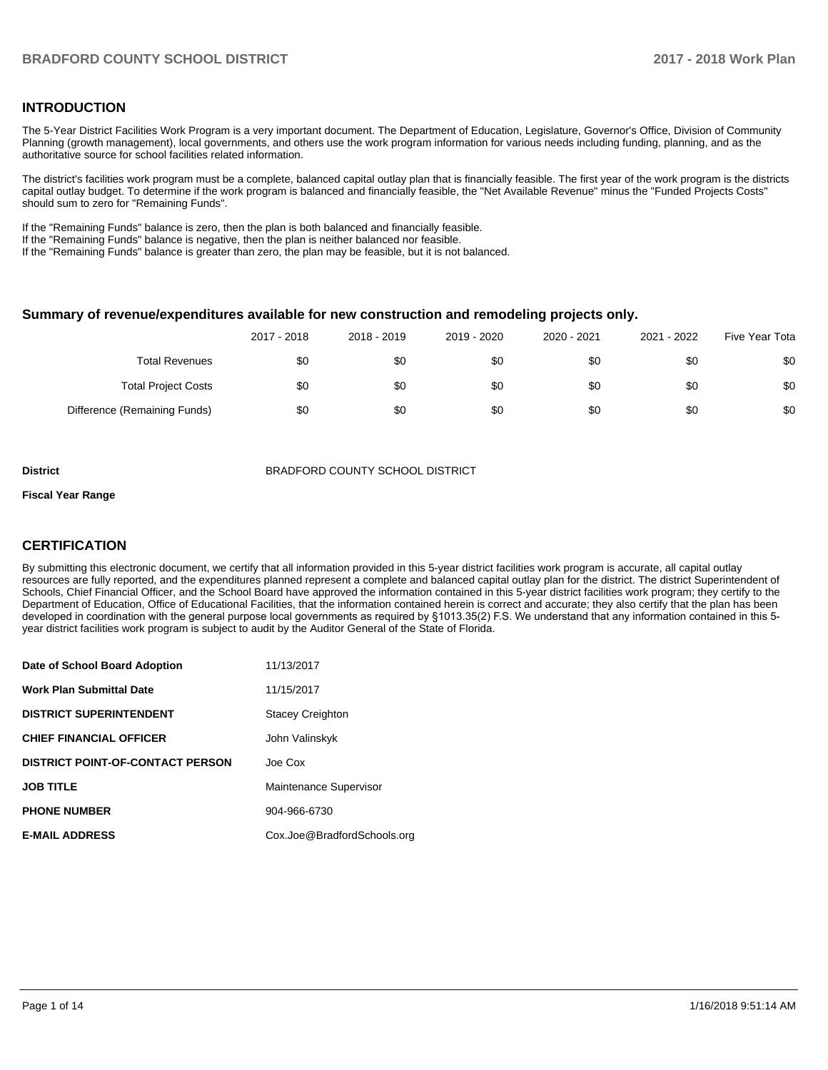#### **INTRODUCTION**

The 5-Year District Facilities Work Program is a very important document. The Department of Education, Legislature, Governor's Office, Division of Community Planning (growth management), local governments, and others use the work program information for various needs including funding, planning, and as the authoritative source for school facilities related information.

The district's facilities work program must be a complete, balanced capital outlay plan that is financially feasible. The first year of the work program is the districts capital outlay budget. To determine if the work program is balanced and financially feasible, the "Net Available Revenue" minus the "Funded Projects Costs" should sum to zero for "Remaining Funds".

If the "Remaining Funds" balance is zero, then the plan is both balanced and financially feasible.

If the "Remaining Funds" balance is negative, then the plan is neither balanced nor feasible.

If the "Remaining Funds" balance is greater than zero, the plan may be feasible, but it is not balanced.

#### **Summary of revenue/expenditures available for new construction and remodeling projects only.**

|                              | 2017 - 2018 | 2018 - 2019 | 2019 - 2020 | 2020 - 2021 | 2021 - 2022 | Five Year Tota |
|------------------------------|-------------|-------------|-------------|-------------|-------------|----------------|
| <b>Total Revenues</b>        | \$0         | \$0         | \$0         | \$0         | \$0         | \$0            |
| <b>Total Project Costs</b>   | \$0         | \$0         | \$0         | \$0         | \$0         | \$0            |
| Difference (Remaining Funds) | \$0         | \$0         | \$0         | \$0         | \$0         | \$0            |

**District BRADFORD COUNTY SCHOOL DISTRICT** 

#### **Fiscal Year Range**

### **CERTIFICATION**

By submitting this electronic document, we certify that all information provided in this 5-year district facilities work program is accurate, all capital outlay resources are fully reported, and the expenditures planned represent a complete and balanced capital outlay plan for the district. The district Superintendent of Schools, Chief Financial Officer, and the School Board have approved the information contained in this 5-year district facilities work program; they certify to the Department of Education, Office of Educational Facilities, that the information contained herein is correct and accurate; they also certify that the plan has been developed in coordination with the general purpose local governments as required by §1013.35(2) F.S. We understand that any information contained in this 5year district facilities work program is subject to audit by the Auditor General of the State of Florida.

| Date of School Board Adoption           | 11/13/2017                  |
|-----------------------------------------|-----------------------------|
| <b>Work Plan Submittal Date</b>         | 11/15/2017                  |
| <b>DISTRICT SUPERINTENDENT</b>          | <b>Stacey Creighton</b>     |
| <b>CHIEF FINANCIAL OFFICER</b>          | John Valinskyk              |
| <b>DISTRICT POINT-OF-CONTACT PERSON</b> | Joe Cox                     |
| <b>JOB TITLE</b>                        | Maintenance Supervisor      |
| <b>PHONE NUMBER</b>                     | 904-966-6730                |
| <b>E-MAIL ADDRESS</b>                   | Cox.Joe@BradfordSchools.org |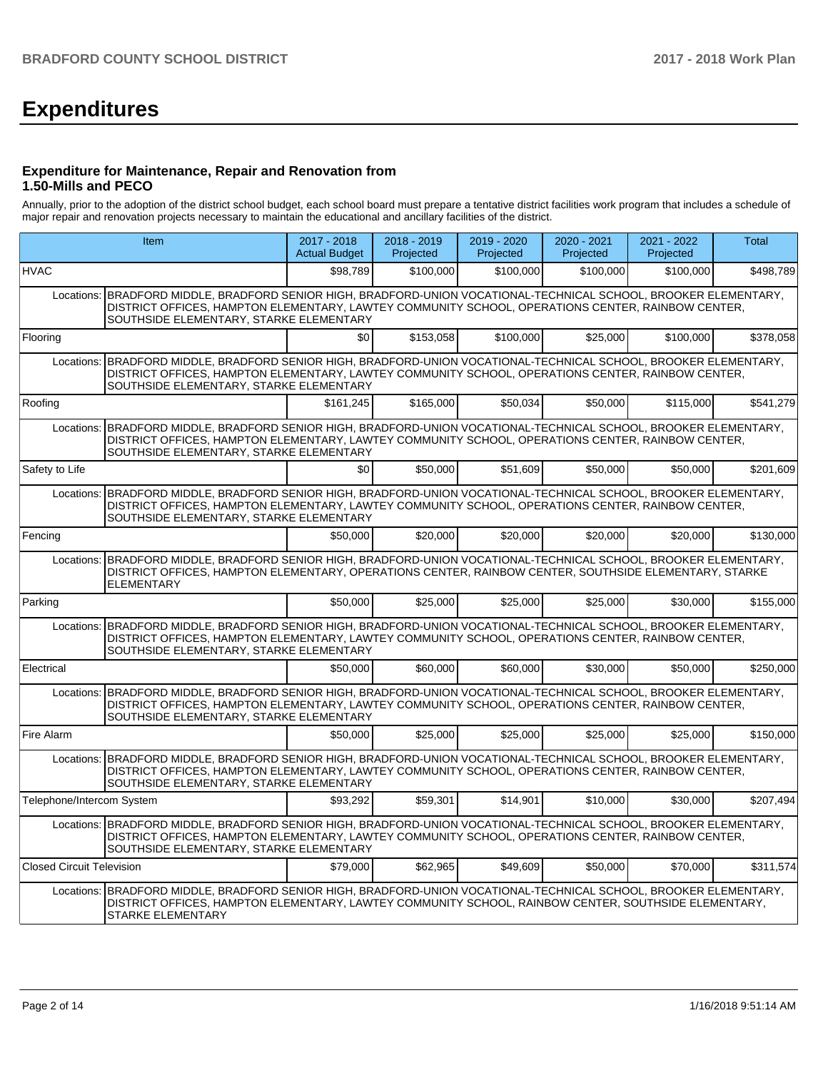# **Expenditures**

#### **Expenditure for Maintenance, Repair and Renovation from 1.50-Mills and PECO**

Annually, prior to the adoption of the district school budget, each school board must prepare a tentative district facilities work program that includes a schedule of major repair and renovation projects necessary to maintain the educational and ancillary facilities of the district.

| Item                             |                                                                                                                                                                                                                                                                   | $2017 - 2018$<br><b>Actual Budget</b> | $2018 - 2019$<br>Projected | $2019 - 2020$<br>Projected | $2020 - 2021$<br>Projected | $2021 - 2022$<br>Projected | Total     |  |  |
|----------------------------------|-------------------------------------------------------------------------------------------------------------------------------------------------------------------------------------------------------------------------------------------------------------------|---------------------------------------|----------------------------|----------------------------|----------------------------|----------------------------|-----------|--|--|
| <b>HVAC</b>                      |                                                                                                                                                                                                                                                                   | \$98.789                              | \$100,000                  | \$100,000                  | \$100,000                  | \$100,000                  | \$498.789 |  |  |
| Locations:                       | BRADFORD MIDDLE, BRADFORD SENIOR HIGH, BRADFORD-UNION VOCATIONAL-TECHNICAL SCHOOL, BROOKER ELEMENTARY,<br>DISTRICT OFFICES, HAMPTON ELEMENTARY, LAWTEY COMMUNITY SCHOOL, OPERATIONS CENTER, RAINBOW CENTER,<br>SOUTHSIDE ELEMENTARY, STARKE ELEMENTARY            |                                       |                            |                            |                            |                            |           |  |  |
| Flooring                         |                                                                                                                                                                                                                                                                   | \$0 <sub>1</sub>                      | \$153.058                  | \$100.000                  | \$25,000                   | \$100,000                  | \$378,058 |  |  |
|                                  | Locations: BRADFORD MIDDLE, BRADFORD SENIOR HIGH, BRADFORD-UNION VOCATIONAL-TECHNICAL SCHOOL, BROOKER ELEMENTARY,<br>DISTRICT OFFICES, HAMPTON ELEMENTARY, LAWTEY COMMUNITY SCHOOL, OPERATIONS CENTER, RAINBOW CENTER,<br>SOUTHSIDE ELEMENTARY, STARKE ELEMENTARY |                                       |                            |                            |                            |                            |           |  |  |
| Roofing                          |                                                                                                                                                                                                                                                                   | \$161,245                             | \$165,000                  | \$50,034                   | \$50,000                   | \$115,000                  | \$541,279 |  |  |
|                                  | Locations: BRADFORD MIDDLE, BRADFORD SENIOR HIGH, BRADFORD-UNION VOCATIONAL-TECHNICAL SCHOOL, BROOKER ELEMENTARY,<br>DISTRICT OFFICES, HAMPTON ELEMENTARY, LAWTEY COMMUNITY SCHOOL, OPERATIONS CENTER, RAINBOW CENTER,<br>SOUTHSIDE ELEMENTARY, STARKE ELEMENTARY |                                       |                            |                            |                            |                            |           |  |  |
| Safety to Life                   |                                                                                                                                                                                                                                                                   | \$0                                   | \$50,000                   | \$51,609                   | \$50,000                   | \$50,000                   | \$201,609 |  |  |
|                                  | Locations: BRADFORD MIDDLE, BRADFORD SENIOR HIGH, BRADFORD-UNION VOCATIONAL-TECHNICAL SCHOOL, BROOKER ELEMENTARY,<br>DISTRICT OFFICES, HAMPTON ELEMENTARY, LAWTEY COMMUNITY SCHOOL, OPERATIONS CENTER, RAINBOW CENTER,<br>SOUTHSIDE ELEMENTARY, STARKE ELEMENTARY |                                       |                            |                            |                            |                            |           |  |  |
| Fencing                          |                                                                                                                                                                                                                                                                   | \$50,000                              | \$20,000                   | \$20,000                   | \$20,000                   | \$20,000                   | \$130,000 |  |  |
|                                  | Locations: BRADFORD MIDDLE, BRADFORD SENIOR HIGH, BRADFORD-UNION VOCATIONAL-TECHNICAL SCHOOL, BROOKER ELEMENTARY,<br>DISTRICT OFFICES, HAMPTON ELEMENTARY, OPERATIONS CENTER, RAINBOW CENTER, SOUTHSIDE ELEMENTARY, STARKE<br><b>ELEMENTARY</b>                   |                                       |                            |                            |                            |                            |           |  |  |
| Parking                          |                                                                                                                                                                                                                                                                   | \$50,000                              | \$25,000                   | \$25,000                   | \$25,000                   | \$30,000                   | \$155,000 |  |  |
|                                  | Locations: BRADFORD MIDDLE, BRADFORD SENIOR HIGH, BRADFORD-UNION VOCATIONAL-TECHNICAL SCHOOL, BROOKER ELEMENTARY,<br>DISTRICT OFFICES, HAMPTON ELEMENTARY, LAWTEY COMMUNITY SCHOOL, OPERATIONS CENTER, RAINBOW CENTER,<br>SOUTHSIDE ELEMENTARY, STARKE ELEMENTARY |                                       |                            |                            |                            |                            |           |  |  |
| Electrical                       |                                                                                                                                                                                                                                                                   | \$50,000                              | \$60,000                   | \$60,000                   | \$30,000                   | \$50,000                   | \$250,000 |  |  |
| Locations:                       | BRADFORD MIDDLE, BRADFORD SENIOR HIGH, BRADFORD-UNION VOCATIONAL-TECHNICAL SCHOOL, BROOKER ELEMENTARY,<br>DISTRICT OFFICES, HAMPTON ELEMENTARY, LAWTEY COMMUNITY SCHOOL, OPERATIONS CENTER, RAINBOW CENTER,<br>SOUTHSIDE ELEMENTARY, STARKE ELEMENTARY            |                                       |                            |                            |                            |                            |           |  |  |
| Fire Alarm                       |                                                                                                                                                                                                                                                                   | \$50,000                              | \$25,000                   | \$25,000                   | \$25,000                   | \$25,000                   | \$150,000 |  |  |
|                                  | Locations: BRADFORD MIDDLE, BRADFORD SENIOR HIGH, BRADFORD-UNION VOCATIONAL-TECHNICAL SCHOOL, BROOKER ELEMENTARY,<br>DISTRICT OFFICES, HAMPTON ELEMENTARY, LAWTEY COMMUNITY SCHOOL, OPERATIONS CENTER, RAINBOW CENTER,<br>SOUTHSIDE ELEMENTARY, STARKE ELEMENTARY |                                       |                            |                            |                            |                            |           |  |  |
| Telephone/Intercom System        |                                                                                                                                                                                                                                                                   | \$93.292                              | \$59,301                   | \$14.901                   | \$10,000                   | \$30,000                   | \$207,494 |  |  |
|                                  | Locations: BRADFORD MIDDLE, BRADFORD SENIOR HIGH, BRADFORD-UNION VOCATIONAL-TECHNICAL SCHOOL, BROOKER ELEMENTARY,<br>DISTRICT OFFICES, HAMPTON ELEMENTARY, LAWTEY COMMUNITY SCHOOL, OPERATIONS CENTER, RAINBOW CENTER,<br>SOUTHSIDE ELEMENTARY, STARKE ELEMENTARY |                                       |                            |                            |                            |                            |           |  |  |
| <b>Closed Circuit Television</b> |                                                                                                                                                                                                                                                                   | \$79,000                              | \$62.965                   | \$49.609                   | \$50,000                   | \$70,000                   | \$311.574 |  |  |
|                                  | Locations: BRADFORD MIDDLE, BRADFORD SENIOR HIGH, BRADFORD-UNION VOCATIONAL-TECHNICAL SCHOOL, BROOKER ELEMENTARY,<br>DISTRICT OFFICES, HAMPTON ELEMENTARY, LAWTEY COMMUNITY SCHOOL, RAINBOW CENTER, SOUTHSIDE ELEMENTARY,<br>STARKE ELEMENTARY                    |                                       |                            |                            |                            |                            |           |  |  |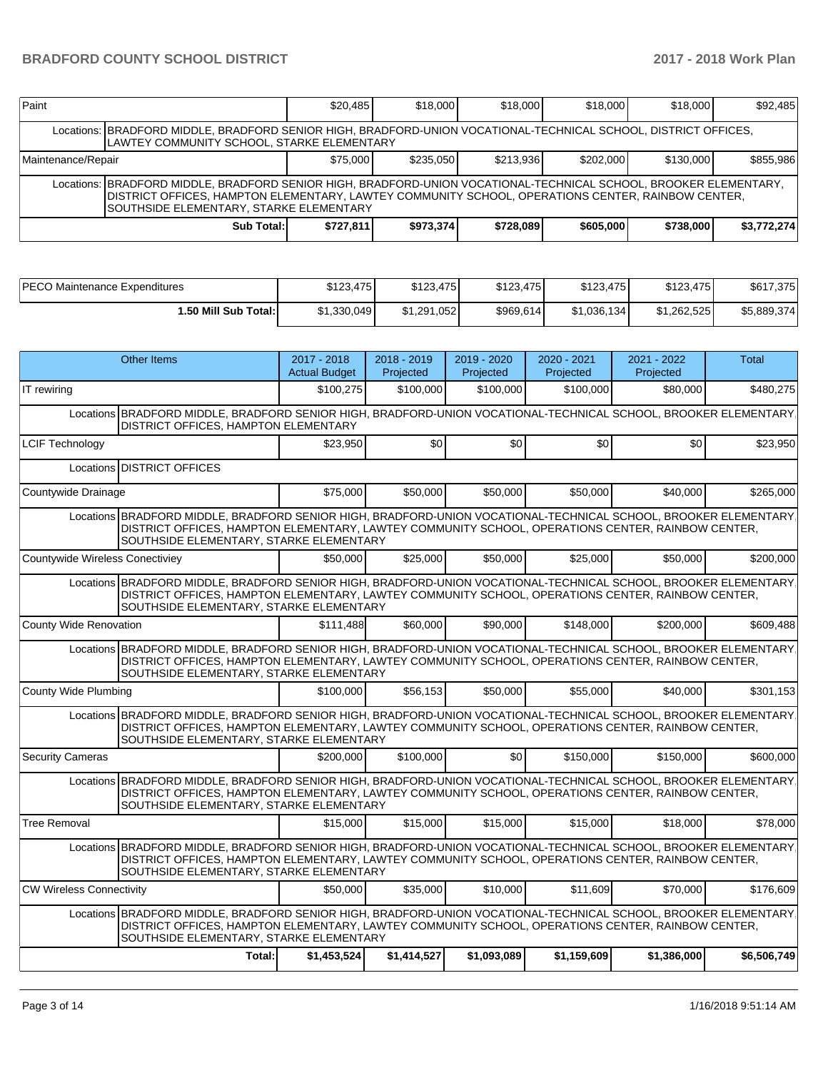# **BRADFORD COUNTY SCHOOL DISTRICT 2017 - 2018 Work Plan**

| Paint                                                                                                                                                                                                                                                             |                                                                                                                                                               | \$20.485               | \$18,000  | \$18,000  | \$18,000  | \$18,000  | \$92.485    |  |  |
|-------------------------------------------------------------------------------------------------------------------------------------------------------------------------------------------------------------------------------------------------------------------|---------------------------------------------------------------------------------------------------------------------------------------------------------------|------------------------|-----------|-----------|-----------|-----------|-------------|--|--|
|                                                                                                                                                                                                                                                                   | Locations: BRADFORD MIDDLE, BRADFORD SENIOR HIGH, BRADFORD-UNION VOCATIONAL-TECHNICAL SCHOOL, DISTRICT OFFICES,<br>LAWTEY COMMUNITY SCHOOL, STARKE ELEMENTARY |                        |           |           |           |           |             |  |  |
| Maintenance/Repair                                                                                                                                                                                                                                                |                                                                                                                                                               | \$235.050<br>\$213.936 | \$202,000 | \$130,000 | \$855,986 |           |             |  |  |
| Locations: BRADFORD MIDDLE, BRADFORD SENIOR HIGH, BRADFORD-UNION VOCATIONAL-TECHNICAL SCHOOL, BROOKER ELEMENTARY,<br>DISTRICT OFFICES, HAMPTON ELEMENTARY, LAWTEY COMMUNITY SCHOOL, OPERATIONS CENTER, RAINBOW CENTER,<br>SOUTHSIDE ELEMENTARY, STARKE ELEMENTARY |                                                                                                                                                               |                        |           |           |           |           |             |  |  |
|                                                                                                                                                                                                                                                                   | Sub Total:                                                                                                                                                    | \$727.811              | \$973,374 | \$728,089 | \$605,000 | \$738,000 | \$3,772,274 |  |  |

| <b>IPECO Maintenance Expenditures</b> | \$123,475   | \$123.475   | \$123.475 | \$123.475   | \$123,475   | \$617,375   |
|---------------------------------------|-------------|-------------|-----------|-------------|-------------|-------------|
| 1.50 Mill Sub Total:                  | \$1,330,049 | \$1.291.052 | \$969,614 | \$1,036,134 | \$1.262.525 | \$5,889,374 |

| <b>Other Items</b>                                                                                                                                                                                                                                               | 2017 - 2018<br><b>Actual Budget</b> | 2018 - 2019<br>Projected | 2019 - 2020<br>Projected | 2020 - 2021<br>Projected | 2021 - 2022<br>Projected | Total       |
|------------------------------------------------------------------------------------------------------------------------------------------------------------------------------------------------------------------------------------------------------------------|-------------------------------------|--------------------------|--------------------------|--------------------------|--------------------------|-------------|
| IT rewiring                                                                                                                                                                                                                                                      | \$100,275                           | \$100,000                | \$100,000                | \$100,000                | \$80,000                 | \$480,275   |
| Locations BRADFORD MIDDLE, BRADFORD SENIOR HIGH, BRADFORD-UNION VOCATIONAL-TECHNICAL SCHOOL, BROOKER ELEMENTARY<br>DISTRICT OFFICES, HAMPTON ELEMENTARY                                                                                                          |                                     |                          |                          |                          |                          |             |
| <b>LCIF Technology</b>                                                                                                                                                                                                                                           | \$23.950                            | \$0                      | \$0                      | \$0                      | \$0                      | \$23,950    |
| Locations DISTRICT OFFICES                                                                                                                                                                                                                                       |                                     |                          |                          |                          |                          |             |
| Countywide Drainage                                                                                                                                                                                                                                              | \$75,000                            | \$50,000                 | \$50,000                 | \$50,000                 | \$40,000                 | \$265,000   |
| Locations BRADFORD MIDDLE, BRADFORD SENIOR HIGH, BRADFORD-UNION VOCATIONAL-TECHNICAL SCHOOL, BROOKER ELEMENTARY,<br>DISTRICT OFFICES, HAMPTON ELEMENTARY, LAWTEY COMMUNITY SCHOOL, OPERATIONS CENTER, RAINBOW CENTER,<br>SOUTHSIDE ELEMENTARY, STARKE ELEMENTARY |                                     |                          |                          |                          |                          |             |
| Countywide Wireless Conectiviey                                                                                                                                                                                                                                  | \$50,000                            | \$25,000                 | \$50,000                 | \$25,000                 | \$50,000                 | \$200,000   |
| Locations BRADFORD MIDDLE, BRADFORD SENIOR HIGH, BRADFORD-UNION VOCATIONAL-TECHNICAL SCHOOL, BROOKER ELEMENTARY,<br>DISTRICT OFFICES, HAMPTON ELEMENTARY, LAWTEY COMMUNITY SCHOOL, OPERATIONS CENTER, RAINBOW CENTER,<br>SOUTHSIDE ELEMENTARY, STARKE ELEMENTARY |                                     |                          |                          |                          |                          |             |
| County Wide Renovation                                                                                                                                                                                                                                           | \$111.488                           | \$60,000                 | \$90,000                 | \$148,000                | \$200,000                | \$609,488   |
| Locations BRADFORD MIDDLE, BRADFORD SENIOR HIGH, BRADFORD-UNION VOCATIONAL-TECHNICAL SCHOOL, BROOKER ELEMENTARY,<br>DISTRICT OFFICES, HAMPTON ELEMENTARY, LAWTEY COMMUNITY SCHOOL, OPERATIONS CENTER, RAINBOW CENTER,<br>SOUTHSIDE ELEMENTARY, STARKE ELEMENTARY |                                     |                          |                          |                          |                          |             |
| County Wide Plumbing                                                                                                                                                                                                                                             | \$100,000                           | \$56,153                 | \$50,000                 | \$55,000                 | \$40,000                 | \$301,153   |
| Locations BRADFORD MIDDLE, BRADFORD SENIOR HIGH, BRADFORD-UNION VOCATIONAL-TECHNICAL SCHOOL, BROOKER ELEMENTARY,<br>DISTRICT OFFICES, HAMPTON ELEMENTARY, LAWTEY COMMUNITY SCHOOL, OPERATIONS CENTER, RAINBOW CENTER,<br>SOUTHSIDE ELEMENTARY, STARKE ELEMENTARY |                                     |                          |                          |                          |                          |             |
| <b>Security Cameras</b>                                                                                                                                                                                                                                          | \$200,000                           | \$100,000                | \$0                      | \$150,000                | \$150,000                | \$600,000   |
| Locations BRADFORD MIDDLE, BRADFORD SENIOR HIGH, BRADFORD-UNION VOCATIONAL-TECHNICAL SCHOOL, BROOKER ELEMENTARY<br>DISTRICT OFFICES, HAMPTON ELEMENTARY, LAWTEY COMMUNITY SCHOOL, OPERATIONS CENTER, RAINBOW CENTER,<br>SOUTHSIDE ELEMENTARY, STARKE ELEMENTARY  |                                     |                          |                          |                          |                          |             |
| <b>Tree Removal</b>                                                                                                                                                                                                                                              | \$15,000                            | \$15,000                 | \$15,000                 | \$15,000                 | \$18,000                 | \$78,000    |
| Locations BRADFORD MIDDLE, BRADFORD SENIOR HIGH, BRADFORD-UNION VOCATIONAL-TECHNICAL SCHOOL, BROOKER ELEMENTARY,<br>DISTRICT OFFICES, HAMPTON ELEMENTARY, LAWTEY COMMUNITY SCHOOL, OPERATIONS CENTER, RAINBOW CENTER,<br>SOUTHSIDE ELEMENTARY, STARKE ELEMENTARY |                                     |                          |                          |                          |                          |             |
| <b>CW Wireless Connectivity</b>                                                                                                                                                                                                                                  | \$50,000                            | \$35,000                 | \$10,000                 | \$11.609                 | \$70,000                 | \$176.609   |
| Locations BRADFORD MIDDLE, BRADFORD SENIOR HIGH, BRADFORD-UNION VOCATIONAL-TECHNICAL SCHOOL, BROOKER ELEMENTARY,<br>DISTRICT OFFICES, HAMPTON ELEMENTARY, LAWTEY COMMUNITY SCHOOL, OPERATIONS CENTER, RAINBOW CENTER,<br>SOUTHSIDE ELEMENTARY, STARKE ELEMENTARY |                                     |                          |                          |                          |                          |             |
| Total:                                                                                                                                                                                                                                                           | \$1,453,524                         | \$1,414,527              | \$1,093,089              | \$1,159,609              | \$1,386,000              | \$6,506,749 |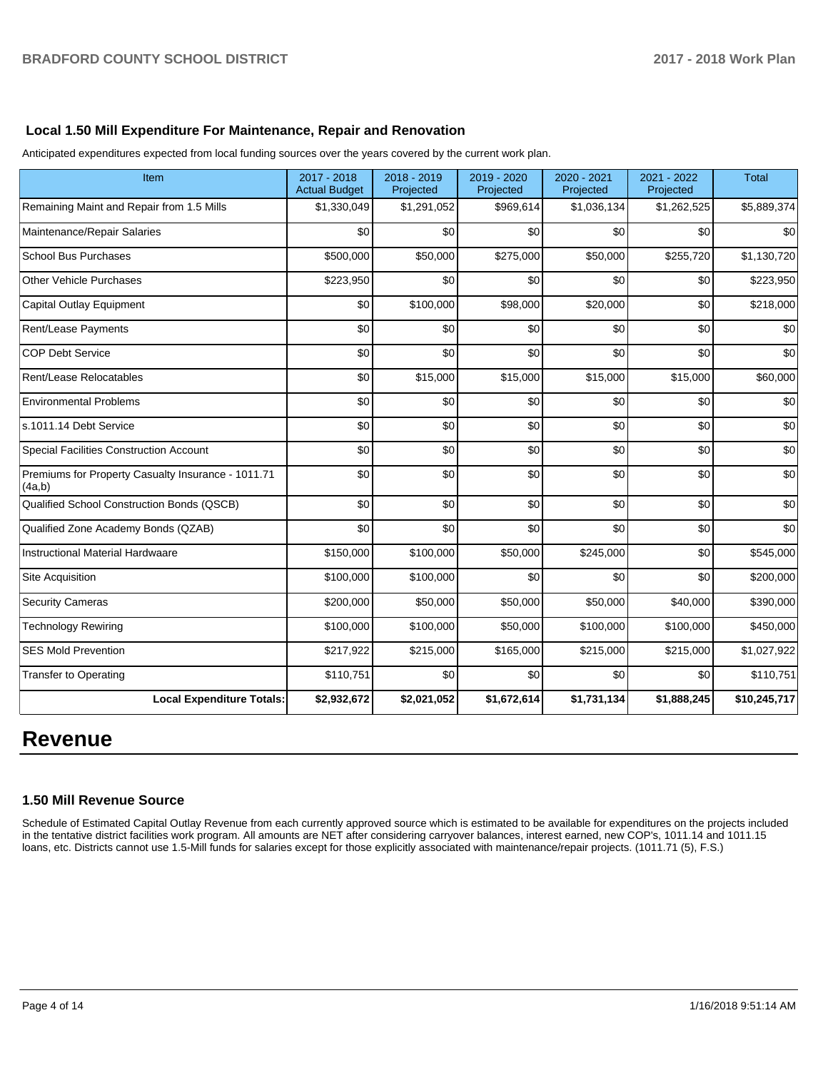# **Local 1.50 Mill Expenditure For Maintenance, Repair and Renovation**

Anticipated expenditures expected from local funding sources over the years covered by the current work plan.

| Item                                                         | 2017 - 2018<br><b>Actual Budget</b> | 2018 - 2019<br>Projected | 2019 - 2020<br>Projected | 2020 - 2021<br>Projected | 2021 - 2022<br>Projected | <b>Total</b> |
|--------------------------------------------------------------|-------------------------------------|--------------------------|--------------------------|--------------------------|--------------------------|--------------|
| Remaining Maint and Repair from 1.5 Mills                    | \$1,330,049                         | \$1,291,052              | \$969,614                | \$1,036,134              | \$1,262,525              | \$5,889,374  |
| Maintenance/Repair Salaries                                  | \$0                                 | \$0                      | \$0                      | \$0                      | \$0                      | \$0          |
| <b>School Bus Purchases</b>                                  | \$500,000                           | \$50,000                 | \$275,000                | \$50,000                 | \$255,720                | \$1,130,720  |
| <b>Other Vehicle Purchases</b>                               | \$223,950                           | \$0                      | \$0                      | \$0                      | \$0                      | \$223,950    |
| Capital Outlay Equipment                                     | \$0                                 | \$100,000                | \$98,000                 | \$20,000                 | \$0                      | \$218,000    |
| Rent/Lease Payments                                          | \$0                                 | \$0                      | \$0                      | \$0                      | \$0                      | \$0          |
| <b>COP Debt Service</b>                                      | \$0                                 | \$0                      | \$0                      | \$0                      | \$0                      | \$0          |
| Rent/Lease Relocatables                                      | \$0                                 | \$15,000                 | \$15,000                 | \$15,000                 | \$15,000                 | \$60,000     |
| <b>Environmental Problems</b>                                | \$0                                 | \$0                      | \$0                      | \$0                      | \$0                      | \$0          |
| s.1011.14 Debt Service                                       | \$0                                 | \$0                      | \$0                      | \$0                      | \$0                      | \$0          |
| <b>Special Facilities Construction Account</b>               | \$0                                 | \$0                      | \$0                      | \$0                      | \$0                      | \$0          |
| Premiums for Property Casualty Insurance - 1011.71<br>(4a,b) | \$0                                 | \$0                      | \$0                      | \$0                      | \$0                      | \$0          |
| Qualified School Construction Bonds (QSCB)                   | \$0                                 | \$0                      | \$0                      | \$0                      | \$0                      | \$0          |
| Qualified Zone Academy Bonds (QZAB)                          | \$0                                 | \$0                      | \$0                      | \$0                      | \$0                      | \$0          |
| <b>Instructional Material Hardwaare</b>                      | \$150,000                           | \$100,000                | \$50,000                 | \$245,000                | \$0                      | \$545,000    |
| Site Acquisition                                             | \$100,000                           | \$100,000                | \$0                      | \$0                      | \$0                      | \$200,000    |
| <b>Security Cameras</b>                                      | \$200,000                           | \$50,000                 | \$50,000                 | \$50,000                 | \$40,000                 | \$390,000    |
| <b>Technology Rewiring</b>                                   | \$100,000                           | \$100,000                | \$50,000                 | \$100,000                | \$100,000                | \$450,000    |
| <b>SES Mold Prevention</b>                                   | \$217,922                           | \$215,000                | \$165,000                | \$215,000                | \$215,000                | \$1,027,922  |
| <b>Transfer to Operating</b>                                 | \$110,751                           | \$0                      | \$0                      | \$0                      | \$0                      | \$110,751    |
| <b>Local Expenditure Totals:</b>                             | \$2,932,672                         | \$2,021,052              | \$1,672,614              | \$1,731,134              | \$1,888,245              | \$10,245,717 |

# **Revenue**

#### **1.50 Mill Revenue Source**

Schedule of Estimated Capital Outlay Revenue from each currently approved source which is estimated to be available for expenditures on the projects included in the tentative district facilities work program. All amounts are NET after considering carryover balances, interest earned, new COP's, 1011.14 and 1011.15 loans, etc. Districts cannot use 1.5-Mill funds for salaries except for those explicitly associated with maintenance/repair projects. (1011.71 (5), F.S.)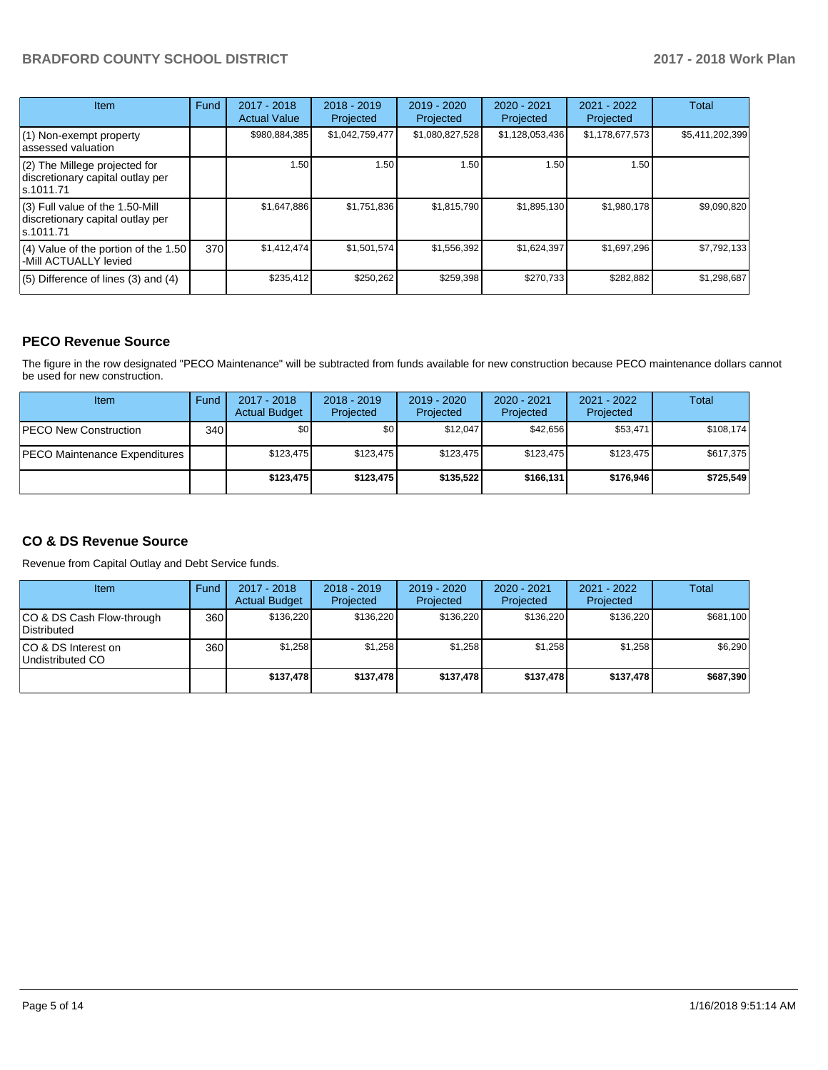# **BRADFORD COUNTY SCHOOL DISTRICT 2017 - 2018 Work Plan**

| <b>Item</b>                                                                         | Fund | $2017 - 2018$<br><b>Actual Value</b> | $2018 - 2019$<br>Projected | $2019 - 2020$<br>Projected | $2020 - 2021$<br>Projected | $2021 - 2022$<br>Projected | Total           |
|-------------------------------------------------------------------------------------|------|--------------------------------------|----------------------------|----------------------------|----------------------------|----------------------------|-----------------|
| $(1)$ Non-exempt property<br>lassessed valuation                                    |      | \$980,884,385                        | \$1,042,759,477            | \$1,080,827,528            | \$1,128,053,436            | \$1,178,677,573            | \$5,411,202,399 |
| (2) The Millege projected for<br>discretionary capital outlay per<br>ls.1011.71     |      | 1.50                                 | 1.50                       | 1.50                       | 1.50                       | 1.50                       |                 |
| $(3)$ Full value of the 1.50-Mill<br>discretionary capital outlay per<br>ls.1011.71 |      | \$1,647,886                          | \$1,751,836                | \$1,815,790                | \$1,895,130                | \$1,980,178                | \$9,090,820     |
| $(4)$ Value of the portion of the 1.50<br>-Mill ACTUALLY levied                     | 370  | \$1,412,474                          | \$1,501,574                | \$1,556,392                | \$1,624,397                | \$1,697,296                | \$7,792,133     |
| $(5)$ Difference of lines $(3)$ and $(4)$                                           |      | \$235,412                            | \$250.262                  | \$259.398                  | \$270.733                  | \$282,882                  | \$1,298,687     |

### **PECO Revenue Source**

The figure in the row designated "PECO Maintenance" will be subtracted from funds available for new construction because PECO maintenance dollars cannot be used for new construction.

| Item                          | Fund         | $2017 - 2018$<br><b>Actual Budget</b> | $2018 - 2019$<br>Projected | 2019 - 2020<br>Projected | $2020 - 2021$<br>Projected | $2021 - 2022$<br>Projected | <b>Total</b> |
|-------------------------------|--------------|---------------------------------------|----------------------------|--------------------------|----------------------------|----------------------------|--------------|
| <b>IPECO New Construction</b> | 340 <b>I</b> | \$0                                   | \$0 <sub>1</sub>           | \$12.047                 | \$42,656                   | \$53,471                   | \$108,174    |
| PECO Maintenance Expenditures |              | \$123.475                             | \$123,475                  | \$123.475                | \$123.475                  | \$123,475                  | \$617,375    |
|                               |              | \$123,475                             | \$123.475                  | \$135,522                | \$166.131                  | \$176.946                  | \$725,549    |

# **CO & DS Revenue Source**

Revenue from Capital Outlay and Debt Service funds.

| Item                                      | Fund | $2017 - 2018$<br><b>Actual Budget</b> | $2018 - 2019$<br>Projected | 2019 - 2020<br>Projected | $2020 - 2021$<br>Projected | $2021 - 2022$<br>Projected | Total     |
|-------------------------------------------|------|---------------------------------------|----------------------------|--------------------------|----------------------------|----------------------------|-----------|
| ICO & DS Cash Flow-through<br>Distributed | 360  | \$136.220                             | \$136.220                  | \$136.220                | \$136.220                  | \$136.220                  | \$681,100 |
| ICO & DS Interest on<br>Undistributed CO  | 360  | \$1.258                               | \$1,258                    | \$1,258                  | \$1.258                    | \$1,258                    | \$6,290   |
|                                           |      | \$137.478                             | \$137,478                  | \$137.478                | \$137.478                  | \$137,478                  | \$687,390 |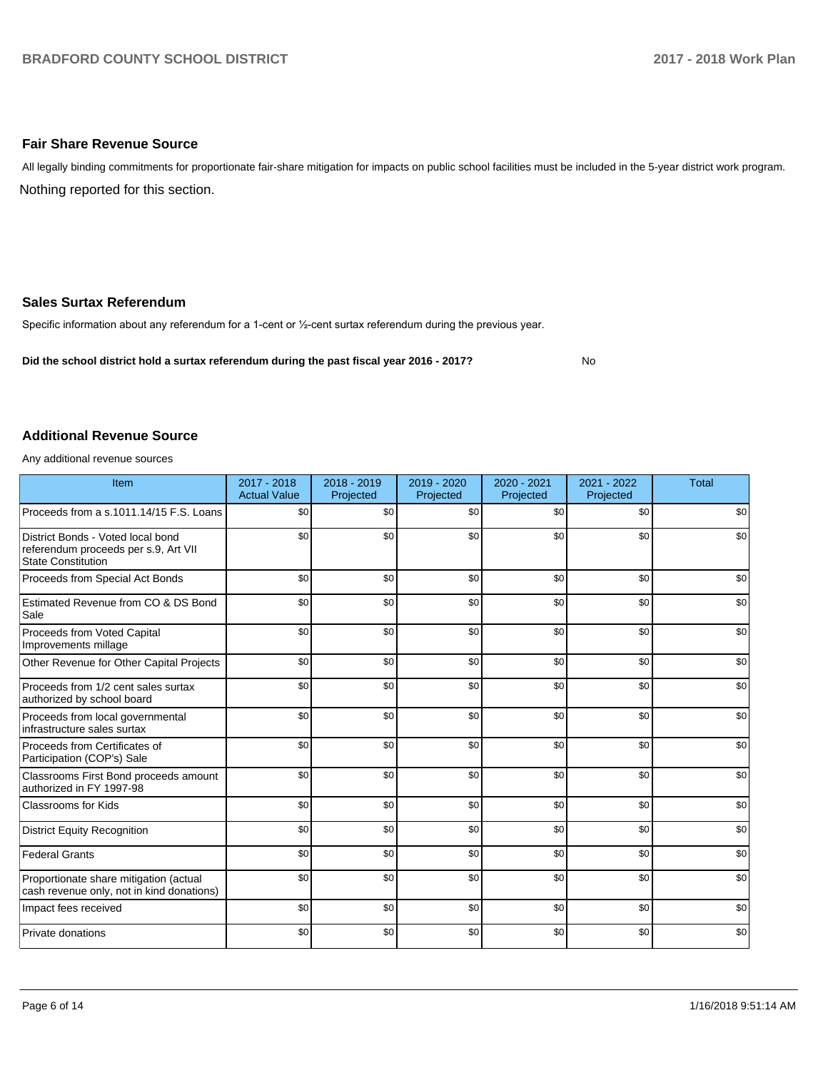#### **Fair Share Revenue Source**

Nothing reported for this section. All legally binding commitments for proportionate fair-share mitigation for impacts on public school facilities must be included in the 5-year district work program.

#### **Sales Surtax Referendum**

Specific information about any referendum for a 1-cent or 1/2-cent surtax referendum during the previous year.

**Did the school district hold a surtax referendum during the past fiscal year 2016 - 2017?**

No

#### **Additional Revenue Source**

Any additional revenue sources

| Item                                                                                                   | $2017 - 2018$<br><b>Actual Value</b> | $2018 - 2019$<br>Projected | 2019 - 2020<br>Projected | 2020 - 2021<br>Projected | 2021 - 2022<br>Projected | <b>Total</b> |
|--------------------------------------------------------------------------------------------------------|--------------------------------------|----------------------------|--------------------------|--------------------------|--------------------------|--------------|
| Proceeds from a s.1011.14/15 F.S. Loans                                                                | \$0                                  | \$0                        | \$0                      | \$0                      | \$0                      | \$0          |
| District Bonds - Voted local bond<br>referendum proceeds per s.9, Art VII<br><b>State Constitution</b> | \$0                                  | \$0                        | \$0                      | \$0                      | \$0                      | \$0          |
| Proceeds from Special Act Bonds                                                                        | \$0                                  | \$0                        | \$0                      | \$0                      | \$0                      | \$0          |
| Estimated Revenue from CO & DS Bond<br>Sale                                                            | \$0                                  | \$0                        | \$0                      | \$0                      | \$0                      | \$0          |
| Proceeds from Voted Capital<br>Improvements millage                                                    | \$0                                  | \$0                        | \$0                      | \$0                      | \$0                      | \$0          |
| Other Revenue for Other Capital Projects                                                               | \$0                                  | \$0                        | \$0                      | \$0                      | \$0                      | \$0          |
| Proceeds from 1/2 cent sales surtax<br>authorized by school board                                      | \$0                                  | \$0                        | \$0                      | \$0                      | \$0                      | \$0          |
| Proceeds from local governmental<br>infrastructure sales surtax                                        | \$0                                  | \$0                        | \$0                      | \$0                      | \$0                      | \$0          |
| Proceeds from Certificates of<br>Participation (COP's) Sale                                            | \$0                                  | \$0                        | \$0                      | \$0                      | \$0                      | \$0          |
| Classrooms First Bond proceeds amount<br>authorized in FY 1997-98                                      | \$0                                  | \$0                        | \$0                      | \$0                      | \$0                      | \$0          |
| <b>Classrooms for Kids</b>                                                                             | \$0                                  | \$0                        | \$0                      | \$0                      | \$0                      | \$0          |
| <b>District Equity Recognition</b>                                                                     | \$0                                  | \$0                        | \$0                      | \$0                      | \$0                      | \$0          |
| <b>Federal Grants</b>                                                                                  | \$0                                  | \$0                        | \$0                      | \$0                      | \$0                      | \$0          |
| Proportionate share mitigation (actual<br>cash revenue only, not in kind donations)                    | \$0                                  | \$0                        | \$0                      | \$0                      | \$0                      | \$0          |
| Impact fees received                                                                                   | \$0                                  | \$0                        | \$0                      | \$0                      | \$0                      | \$0          |
| Private donations                                                                                      | \$0                                  | \$0                        | \$0                      | \$0                      | \$0                      | \$0          |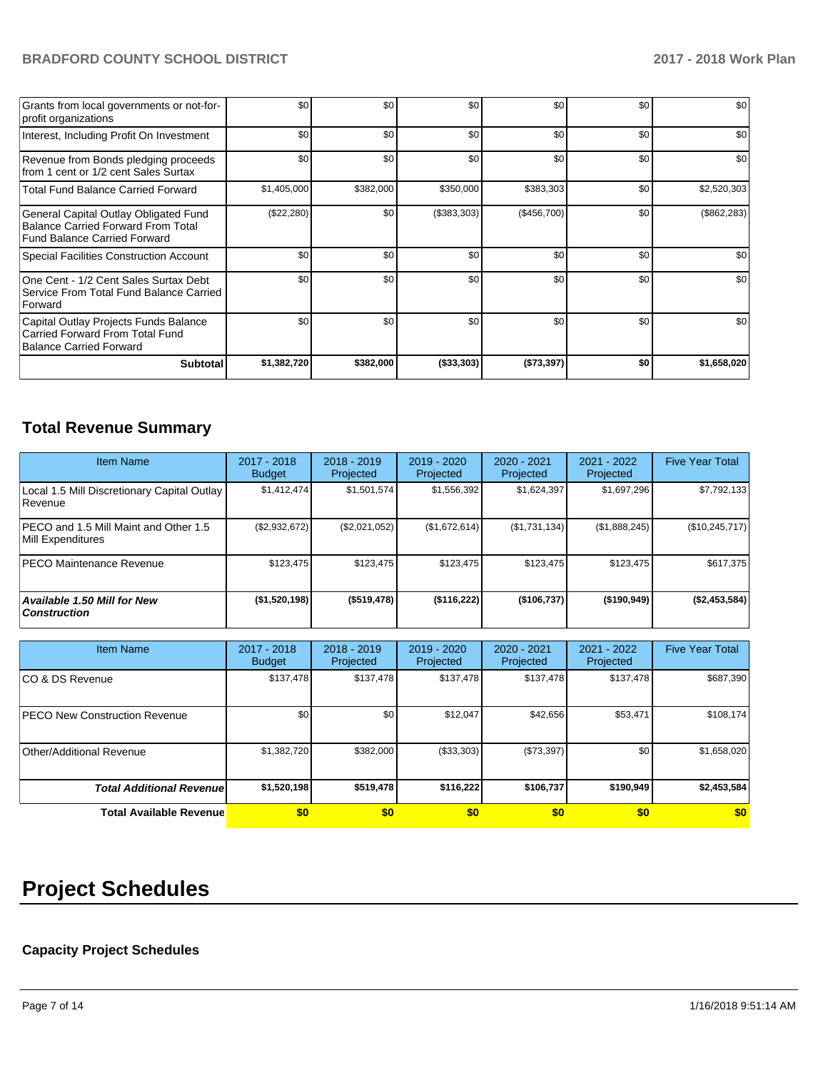# **BRADFORD COUNTY SCHOOL DISTRICT 2017 - 2018 Work Plan**

| Grants from local governments or not-for-<br>profit organizations                                                         | \$0         | \$0       | \$0         | \$0         | \$0 | \$0          |
|---------------------------------------------------------------------------------------------------------------------------|-------------|-----------|-------------|-------------|-----|--------------|
| Interest, Including Profit On Investment                                                                                  | \$0         | \$0       | \$0         | \$0         | \$0 | \$0          |
| Revenue from Bonds pledging proceeds<br>from 1 cent or 1/2 cent Sales Surtax                                              | \$0         | \$0       | \$0         | \$0         | \$0 | \$0          |
| <b>Total Fund Balance Carried Forward</b>                                                                                 | \$1,405,000 | \$382,000 | \$350,000   | \$383,303   | \$0 | \$2,520,303  |
| General Capital Outlay Obligated Fund<br><b>Balance Carried Forward From Total</b><br><b>Fund Balance Carried Forward</b> | (\$22,280)  | \$0       | (\$383,303) | (\$456,700) | \$0 | (\$862, 283) |
| <b>Special Facilities Construction Account</b>                                                                            | \$0         | \$0       | \$0         | \$0         | \$0 | \$0          |
| One Cent - 1/2 Cent Sales Surtax Debt<br>Service From Total Fund Balance Carried<br>Forward                               | \$0         | \$0       | \$0         | \$0         | \$0 | \$0          |
| Capital Outlay Projects Funds Balance<br>Carried Forward From Total Fund<br><b>Balance Carried Forward</b>                | \$0         | \$0       | \$0         | \$0         | \$0 | \$0          |
| <b>Subtotal</b>                                                                                                           | \$1,382,720 | \$382,000 | (\$33,303)  | (\$73,397)  | \$0 | \$1,658,020  |

# **Total Revenue Summary**

| <b>Item Name</b>                                           | 2017 - 2018<br><b>Budget</b> | $2018 - 2019$<br>Projected | $2019 - 2020$<br>Projected | 2020 - 2021<br>Projected | 2021 - 2022<br>Projected | <b>Five Year Total</b> |
|------------------------------------------------------------|------------------------------|----------------------------|----------------------------|--------------------------|--------------------------|------------------------|
| Local 1.5 Mill Discretionary Capital Outlay<br>l Revenue   | \$1.412.474                  | \$1,501,574                | \$1,556,392                | \$1,624,397              | \$1,697,296              | \$7,792,133            |
| PECO and 1.5 Mill Maint and Other 1.5<br>Mill Expenditures | (\$2,932,672)                | (\$2,021,052)              | (\$1,672,614)              | (\$1,731,134)            | (\$1,888,245)            | (\$10,245,717)         |
| <b>IPECO Maintenance Revenue</b>                           | \$123,475                    | \$123.475                  | \$123.475                  | \$123.475                | \$123,475                | \$617,375              |
| Available 1.50 Mill for New<br><b>Construction</b>         | (\$1,520,198)                | (\$519,478)                | (\$116,222)                | (\$106,737)              | (\$190,949)              | (\$2,453,584)          |

| <b>Item Name</b>                      | 2017 - 2018<br><b>Budget</b> | $2018 - 2019$<br>Projected | $2019 - 2020$<br>Projected | 2020 - 2021<br>Projected | 2021 - 2022<br>Projected | <b>Five Year Total</b> |
|---------------------------------------|------------------------------|----------------------------|----------------------------|--------------------------|--------------------------|------------------------|
| ICO & DS Revenue                      | \$137,478                    | \$137,478                  | \$137,478                  | \$137,478                | \$137,478                | \$687,390              |
| <b>IPECO New Construction Revenue</b> | \$0                          | \$0                        | \$12.047                   | \$42,656                 | \$53,471                 | \$108,174              |
| Other/Additional Revenue              | \$1,382,720                  | \$382,000                  | (\$33,303)                 | (\$73,397)               | \$0                      | \$1,658,020            |
| <b>Total Additional Revenuel</b>      | \$1,520,198                  | \$519,478                  | \$116.222                  | \$106,737                | \$190,949                | \$2,453,584            |
| <b>Total Available Revenue</b>        | \$0                          | \$0                        | \$0                        | \$0                      | \$0                      | \$0                    |

# **Project Schedules**

# **Capacity Project Schedules**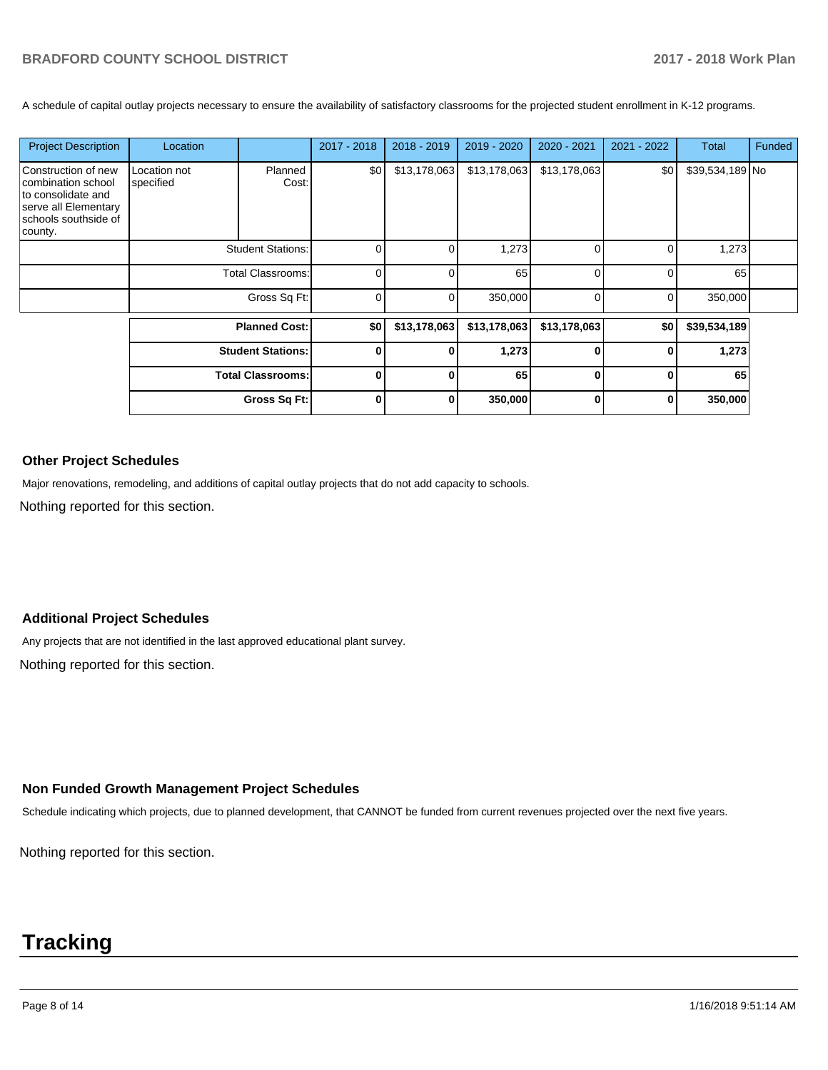A schedule of capital outlay projects necessary to ensure the availability of satisfactory classrooms for the projected student enrollment in K-12 programs.

| <b>Project Description</b>                                                                                                 | Location                  |                          | 2017 - 2018 | $2018 - 2019$ | 2019 - 2020  | 2020 - 2021  | 2021 - 2022 | <b>Total</b>    | Funded |
|----------------------------------------------------------------------------------------------------------------------------|---------------------------|--------------------------|-------------|---------------|--------------|--------------|-------------|-----------------|--------|
| Construction of new<br>combination school<br>to consolidate and<br>serve all Elementary<br>schools southside of<br>county. | Location not<br>specified | Planned<br>Cost:         | \$0         | \$13,178,063  | \$13,178,063 | \$13,178,063 | \$0         | \$39,534,189 No |        |
|                                                                                                                            |                           | <b>Student Stations:</b> | በ           |               | 1,273        | $\Omega$     | 0           | 1,273           |        |
|                                                                                                                            | Total Classrooms:         |                          | $\Omega$    |               | 65           | $\Omega$     | $\Omega$    | 65              |        |
|                                                                                                                            | Gross Sq Ft:              |                          | $\Omega$    |               | 350,000      | $\Omega$     | 0           | 350,000         |        |
|                                                                                                                            | <b>Planned Cost:</b>      |                          | \$0         | \$13,178,063  | \$13,178,063 | \$13,178,063 | \$0         | \$39,534,189    |        |
|                                                                                                                            | <b>Student Stations:</b>  |                          | 0           |               | 1,273        | $\bf{0}$     | 0           | 1,273           |        |
|                                                                                                                            |                           | <b>Total Classrooms:</b> | 0           |               | 65           | $\bf{0}$     | $\Omega$    | 65              |        |
|                                                                                                                            |                           | Gross Sq Ft:             | 0           |               | 350,000      | $\bf{0}$     | 0           | 350,000         |        |

## **Other Project Schedules**

Major renovations, remodeling, and additions of capital outlay projects that do not add capacity to schools.

Nothing reported for this section.

## **Additional Project Schedules**

Any projects that are not identified in the last approved educational plant survey.

Nothing reported for this section.

# **Non Funded Growth Management Project Schedules**

Schedule indicating which projects, due to planned development, that CANNOT be funded from current revenues projected over the next five years.

Nothing reported for this section.

# **Tracking**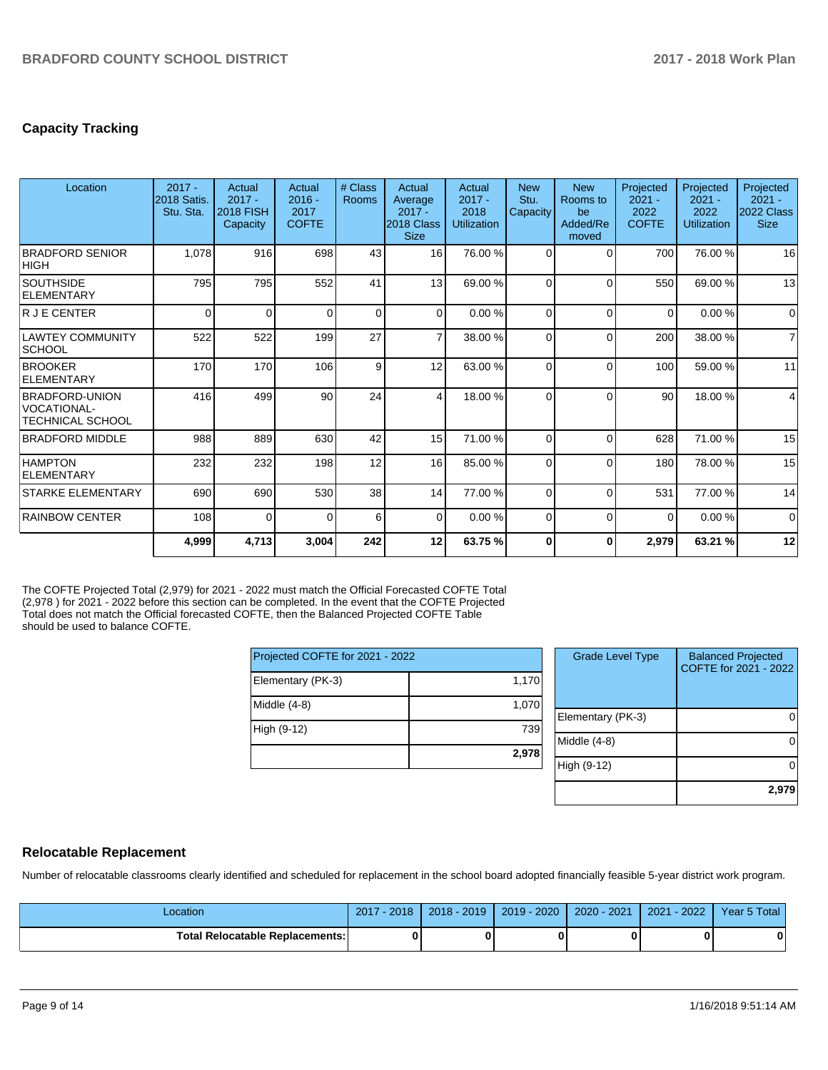# **Capacity Tracking**

| Location                                                               | $2017 -$<br><b>2018 Satis.</b><br>Stu. Sta. | Actual<br>$2017 -$<br><b>2018 FISH</b><br>Capacity | Actual<br>$2016 -$<br>2017<br><b>COFTE</b> | # Class<br><b>Rooms</b> | Actual<br>Average<br>$2017 -$<br>2018 Class<br><b>Size</b> | Actual<br>$2017 -$<br>2018<br><b>Utilization</b> | <b>New</b><br>Stu.<br>Capacity | <b>New</b><br>Rooms to<br>be<br>Added/Re<br>moved | Projected<br>$2021 -$<br>2022<br><b>COFTE</b> | Projected<br>$2021 -$<br>2022<br><b>Utilization</b> | Projected<br>$2021 -$<br>2022 Class<br><b>Size</b> |
|------------------------------------------------------------------------|---------------------------------------------|----------------------------------------------------|--------------------------------------------|-------------------------|------------------------------------------------------------|--------------------------------------------------|--------------------------------|---------------------------------------------------|-----------------------------------------------|-----------------------------------------------------|----------------------------------------------------|
| <b>BRADFORD SENIOR</b><br><b>HIGH</b>                                  | 1,078                                       | 916                                                | 698                                        | 43                      | 16                                                         | 76.00 %                                          | 0                              | $\Omega$                                          | 700                                           | 76.00 %                                             | 16                                                 |
| <b>SOUTHSIDE</b><br><b>ELEMENTARY</b>                                  | 795                                         | 795                                                | 552                                        | 41                      | 13                                                         | 69.00 %                                          | 0                              | $\Omega$                                          | 550                                           | 69.00 %                                             | 13                                                 |
| R J E CENTER                                                           | $\Omega$                                    | $\Omega$                                           | $\Omega$                                   | $\Omega$                | $\Omega$                                                   | 0.00%                                            | 0                              | $\Omega$                                          | $\Omega$                                      | 0.00%                                               | $\Omega$                                           |
| <b>LAWTEY COMMUNITY</b><br><b>SCHOOL</b>                               | 522                                         | 522                                                | 199                                        | 27                      | $\overline{7}$                                             | 38.00 %                                          | 0                              | $\Omega$                                          | 200                                           | 38.00 %                                             | $\overline{7}$                                     |
| <b>BROOKER</b><br><b>ELEMENTARY</b>                                    | 170                                         | 170                                                | 106                                        | 9                       | 12                                                         | 63.00 %                                          | $\Omega$                       | $\Omega$                                          | 100                                           | 59.00 %                                             | 11                                                 |
| <b>BRADFORD-UNION</b><br><b>VOCATIONAL-</b><br><b>TECHNICAL SCHOOL</b> | 416                                         | 499                                                | 90                                         | 24                      | 4                                                          | 18.00 %                                          | $\Omega$                       | $\Omega$                                          | 90                                            | 18.00 %                                             | 4                                                  |
| <b>BRADFORD MIDDLE</b>                                                 | 988                                         | 889                                                | 630                                        | 42                      | 15                                                         | 71.00 %                                          | 0                              | $\Omega$                                          | 628                                           | 71.00 %                                             | 15                                                 |
| <b>HAMPTON</b><br><b>ELEMENTARY</b>                                    | 232                                         | 232                                                | 198                                        | 12                      | 16                                                         | 85.00 %                                          | $\Omega$                       | $\Omega$                                          | 180                                           | 78.00 %                                             | 15                                                 |
| <b>STARKE ELEMENTARY</b>                                               | 690                                         | 690                                                | 530                                        | 38                      | 14                                                         | 77.00 %                                          | 0                              | $\Omega$                                          | 531                                           | 77.00 %                                             | 14                                                 |
| <b>RAINBOW CENTER</b>                                                  | 108                                         | 0                                                  | 0                                          | 6                       | 0                                                          | 0.00 %                                           | 0                              | $\Omega$                                          | 0                                             | 0.00%                                               | $\mathbf 0$                                        |
|                                                                        | 4,999                                       | 4,713                                              | 3,004                                      | 242                     | 12                                                         | 63.75 %                                          | 0                              | 0                                                 | 2,979                                         | 63.21 %                                             | 12                                                 |

The COFTE Projected Total (2,979) for 2021 - 2022 must match the Official Forecasted COFTE Total (2,978 ) for 2021 - 2022 before this section can be completed. In the event that the COFTE Projected Total does not match the Official forecasted COFTE, then the Balanced Projected COFTE Table should be used to balance COFTE.

| Projected COFTE for 2021 - 2022 |       |  |  |  |  |
|---------------------------------|-------|--|--|--|--|
| Elementary (PK-3)               | 1,170 |  |  |  |  |
| Middle (4-8)                    | 1,070 |  |  |  |  |
| High (9-12)                     | 739   |  |  |  |  |
|                                 | 2,978 |  |  |  |  |

| <b>Grade Level Type</b> | <b>Balanced Projected</b><br>COFTE for 2021 - 2022 |
|-------------------------|----------------------------------------------------|
| Elementary (PK-3)       |                                                    |
| Middle (4-8)            |                                                    |
| High (9-12)             |                                                    |
|                         | 2.97                                               |

## **Relocatable Replacement**

Number of relocatable classrooms clearly identified and scheduled for replacement in the school board adopted financially feasible 5-year district work program.

| -ocation                        | 2018<br>2017 | $2018 - 2019$ | $2019 - 2020$ | 2020 - 2021 | $-2022$<br>2021 | Year 5 Total |
|---------------------------------|--------------|---------------|---------------|-------------|-----------------|--------------|
| Total Relocatable Replacements: |              |               |               |             |                 |              |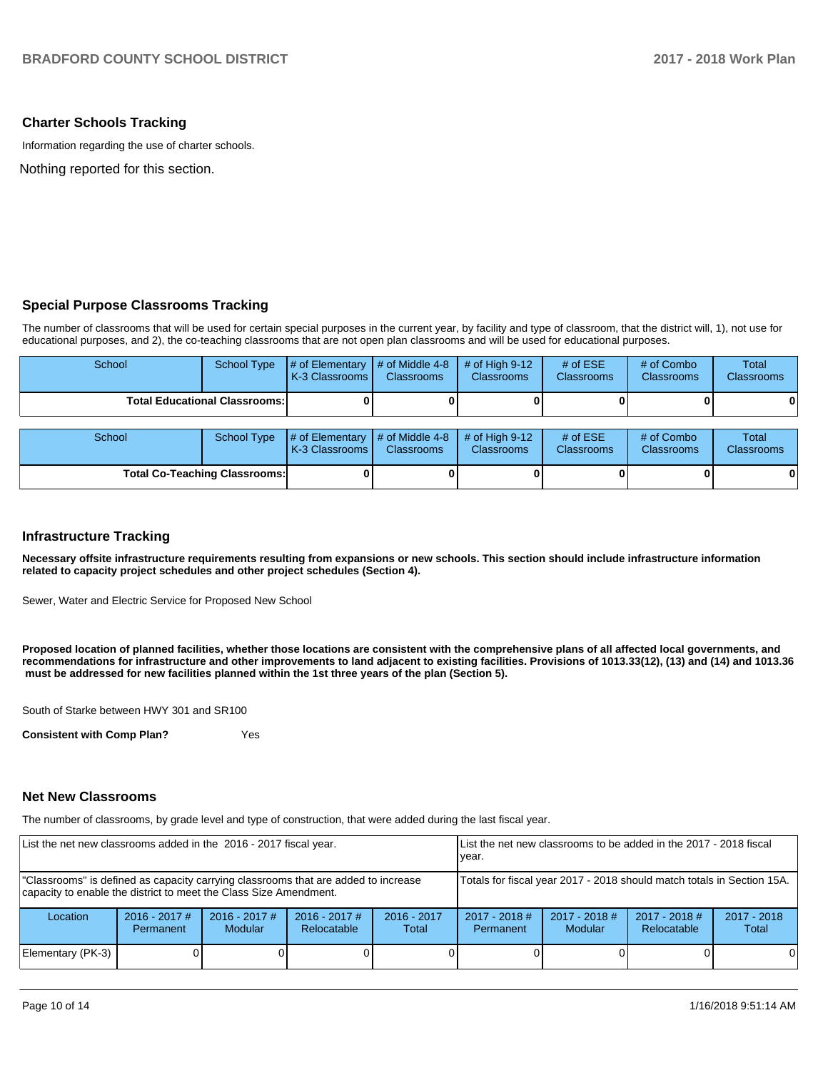#### **Charter Schools Tracking**

Information regarding the use of charter schools.

Nothing reported for this section.

# **Special Purpose Classrooms Tracking**

The number of classrooms that will be used for certain special purposes in the current year, by facility and type of classroom, that the district will, 1), not use for educational purposes, and 2), the co-teaching classrooms that are not open plan classrooms and will be used for educational purposes.

| School | <b>School Type</b>                   | # of Elementary<br>K-3 Classrooms | # of Middle 4-8<br><b>Classrooms</b>   | $#$ of High 9-12<br><b>Classrooms</b> | # of $ESE$<br><b>Classrooms</b> | # of Combo<br><b>Classrooms</b> | Total<br><b>Classrooms</b> |
|--------|--------------------------------------|-----------------------------------|----------------------------------------|---------------------------------------|---------------------------------|---------------------------------|----------------------------|
|        | <b>Total Educational Classrooms:</b> |                                   |                                        |                                       |                                 |                                 | 0                          |
| School | <b>School Type</b>                   | # of Elementary<br>K-3 Classrooms | $#$ of Middle 4-8<br><b>Classrooms</b> | # of High $9-12$<br><b>Classrooms</b> | # of $ESE$<br><b>Classrooms</b> | # of Combo<br><b>Classrooms</b> | Total<br><b>Classrooms</b> |
|        | <b>Total Co-Teaching Classrooms:</b> |                                   |                                        |                                       |                                 |                                 | 0                          |

#### **Infrastructure Tracking**

**Necessary offsite infrastructure requirements resulting from expansions or new schools. This section should include infrastructure information related to capacity project schedules and other project schedules (Section 4).** 

Sewer, Water and Electric Service for Proposed New School

**Proposed location of planned facilities, whether those locations are consistent with the comprehensive plans of all affected local governments, and recommendations for infrastructure and other improvements to land adjacent to existing facilities. Provisions of 1013.33(12), (13) and (14) and 1013.36 must be addressed for new facilities planned within the 1st three years of the plan (Section 5).** 

South of Starke between HWY 301 and SR100

**Consistent with Comp Plan?** Yes

#### **Net New Classrooms**

The number of classrooms, by grade level and type of construction, that were added during the last fiscal year.

| List the net new classrooms added in the 2016 - 2017 fiscal year.                                                                                       |                                     |                            |                                |                        | List the net new classrooms to be added in the 2017 - 2018 fiscal<br>year. |                                   |                                |                        |
|---------------------------------------------------------------------------------------------------------------------------------------------------------|-------------------------------------|----------------------------|--------------------------------|------------------------|----------------------------------------------------------------------------|-----------------------------------|--------------------------------|------------------------|
| "Classrooms" is defined as capacity carrying classrooms that are added to increase<br>capacity to enable the district to meet the Class Size Amendment. |                                     |                            |                                |                        | Totals for fiscal year 2017 - 2018 should match totals in Section 15A.     |                                   |                                |                        |
| Location                                                                                                                                                | $2016 - 2017$ #<br><b>Permanent</b> | $2016 - 2017$ #<br>Modular | $2016 - 2017$ #<br>Relocatable | $2016 - 2017$<br>Total | $2017 - 2018$ #<br><b>Permanent</b>                                        | $2017 - 2018$ #<br><b>Modular</b> | $2017 - 2018$ #<br>Relocatable | $2017 - 2018$<br>Total |
| Elementary (PK-3)                                                                                                                                       |                                     |                            |                                |                        |                                                                            |                                   |                                |                        |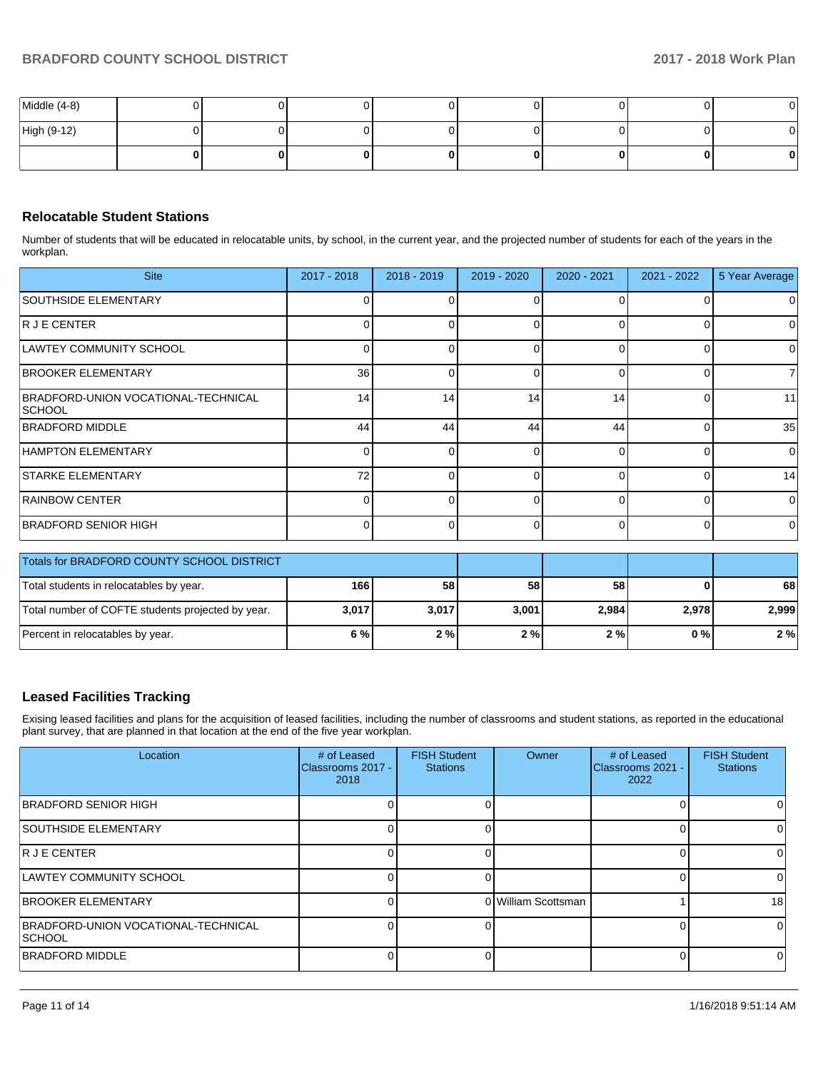| Middle (4-8) | .  |   |  | 01 |
|--------------|----|---|--|----|
| High (9-12)  |    |   |  | ΟI |
|              | 01 | n |  |    |

# **Relocatable Student Stations**

Number of students that will be educated in relocatable units, by school, in the current year, and the projected number of students for each of the years in the workplan.

| <b>Site</b>                                          | 2017 - 2018     | 2018 - 2019 | 2019 - 2020 | 2020 - 2021 | 2021 - 2022 | 5 Year Average |
|------------------------------------------------------|-----------------|-------------|-------------|-------------|-------------|----------------|
| SOUTHSIDE ELEMENTARY                                 | 0               |             | 0           |             |             | 0              |
| R J E CENTER                                         |                 |             | 0           |             | 0           | 0              |
| LAWTEY COMMUNITY SCHOOL                              | 0               |             | $\Omega$    | ∩           | 0           | 0              |
| <b>BROOKER ELEMENTARY</b>                            | 36 <sup>1</sup> |             | 0           | $\Omega$    | 0           | 7              |
| BRADFORD-UNION VOCATIONAL-TECHNICAL<br><b>SCHOOL</b> | 14              | 14          | 14          | 14          | 0           | 11             |
| <b>BRADFORD MIDDLE</b>                               | 44              | 44          | 44          | 44          | 0           | 35             |
| HAMPTON ELEMENTARY                                   | 0               |             | 0           | $\Omega$    | 0           | $\Omega$       |
| <b>STARKE ELEMENTARY</b>                             | 72              | n           | 0           | 0           | 0           | 14             |
| <b>RAINBOW CENTER</b>                                |                 |             | ŋ           |             | 0           | $\Omega$       |
| <b>BRADFORD SENIOR HIGH</b>                          | 0               |             | 0           | $\Omega$    | 0           | $\Omega$       |
| Totals for BRADFORD COUNTY SCHOOL DISTRICT           |                 |             |             |             |             |                |
| Total students in relocatables by year.              | 166             | 58          | 58          | 58          | 0           | 68             |

### **Leased Facilities Tracking**

Exising leased facilities and plans for the acquisition of leased facilities, including the number of classrooms and student stations, as reported in the educational plant survey, that are planned in that location at the end of the five year workplan.

Total number of COFTE students projected by year. **3,017 3,017 3,001 2,984 2,978 2,999** Percent in relocatables by year. **6 % 2 % 2 % 2 % 0 % 2 %**

| Location                                             | # of Leased<br>Classrooms 2017 -<br>2018 | <b>FISH Student</b><br><b>Stations</b> | <b>Owner</b>        | # of Leased<br>Classrooms 2021 -<br>2022 | <b>FISH Student</b><br><b>Stations</b> |
|------------------------------------------------------|------------------------------------------|----------------------------------------|---------------------|------------------------------------------|----------------------------------------|
| <b>BRADFORD SENIOR HIGH</b>                          |                                          |                                        |                     |                                          |                                        |
| <b>SOUTHSIDE ELEMENTARY</b>                          |                                          |                                        |                     |                                          |                                        |
| <b>R J E CENTER</b>                                  |                                          |                                        |                     |                                          |                                        |
| <b>LAWTEY COMMUNITY SCHOOL</b>                       |                                          |                                        |                     |                                          |                                        |
| <b>BROOKER ELEMENTARY</b>                            |                                          |                                        | 0 William Scottsman |                                          | 18                                     |
| BRADFORD-UNION VOCATIONAL-TECHNICAL<br><b>SCHOOL</b> |                                          |                                        |                     |                                          | 0                                      |
| <b>BRADFORD MIDDLE</b>                               |                                          |                                        |                     |                                          |                                        |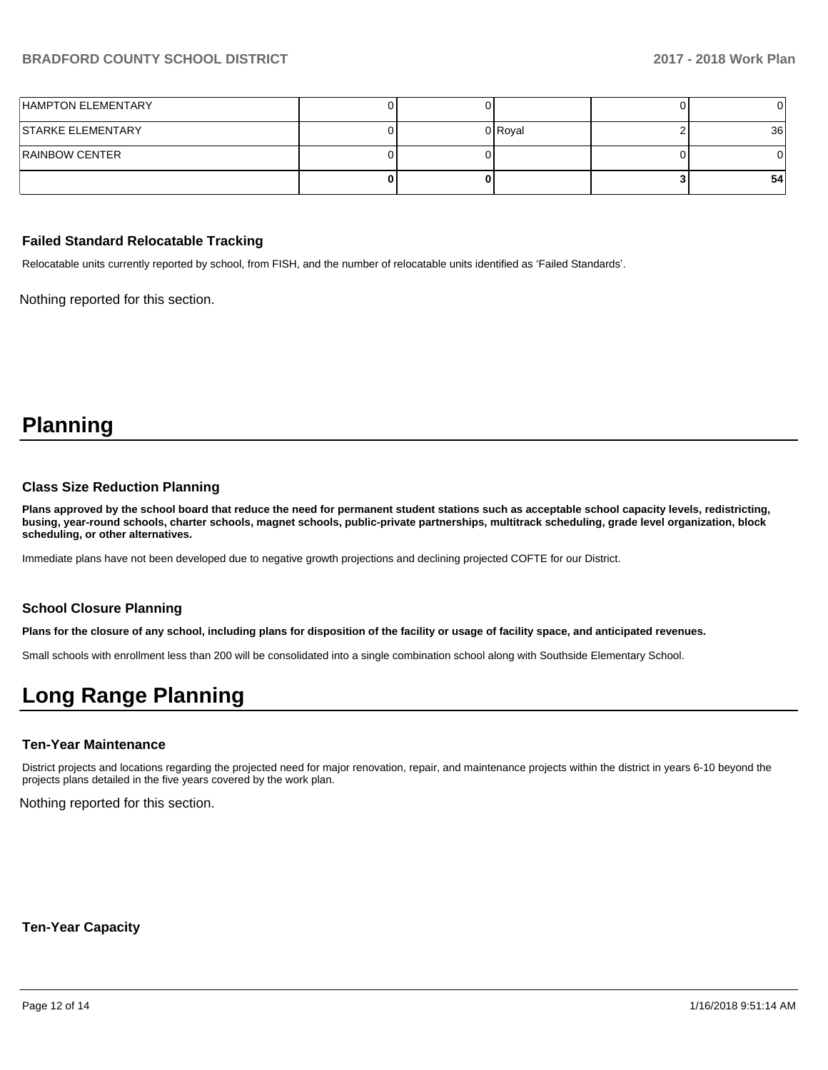| HAMPTON ELEMENTARY       |  |         |                 |
|--------------------------|--|---------|-----------------|
| <b>STARKE ELEMENTARY</b> |  | 0 Royal | 36 <sup>l</sup> |
| <b>RAINBOW CENTER</b>    |  |         |                 |
|                          |  |         | 54              |

#### **Failed Standard Relocatable Tracking**

Relocatable units currently reported by school, from FISH, and the number of relocatable units identified as 'Failed Standards'.

Nothing reported for this section.

# **Planning**

#### **Class Size Reduction Planning**

**Plans approved by the school board that reduce the need for permanent student stations such as acceptable school capacity levels, redistricting, busing, year-round schools, charter schools, magnet schools, public-private partnerships, multitrack scheduling, grade level organization, block scheduling, or other alternatives.**

Immediate plans have not been developed due to negative growth projections and declining projected COFTE for our District.

#### **School Closure Planning**

**Plans for the closure of any school, including plans for disposition of the facility or usage of facility space, and anticipated revenues.** 

Small schools with enrollment less than 200 will be consolidated into a single combination school along with Southside Elementary School.

# **Long Range Planning**

#### **Ten-Year Maintenance**

District projects and locations regarding the projected need for major renovation, repair, and maintenance projects within the district in years 6-10 beyond the projects plans detailed in the five years covered by the work plan.

Nothing reported for this section.

**Ten-Year Capacity**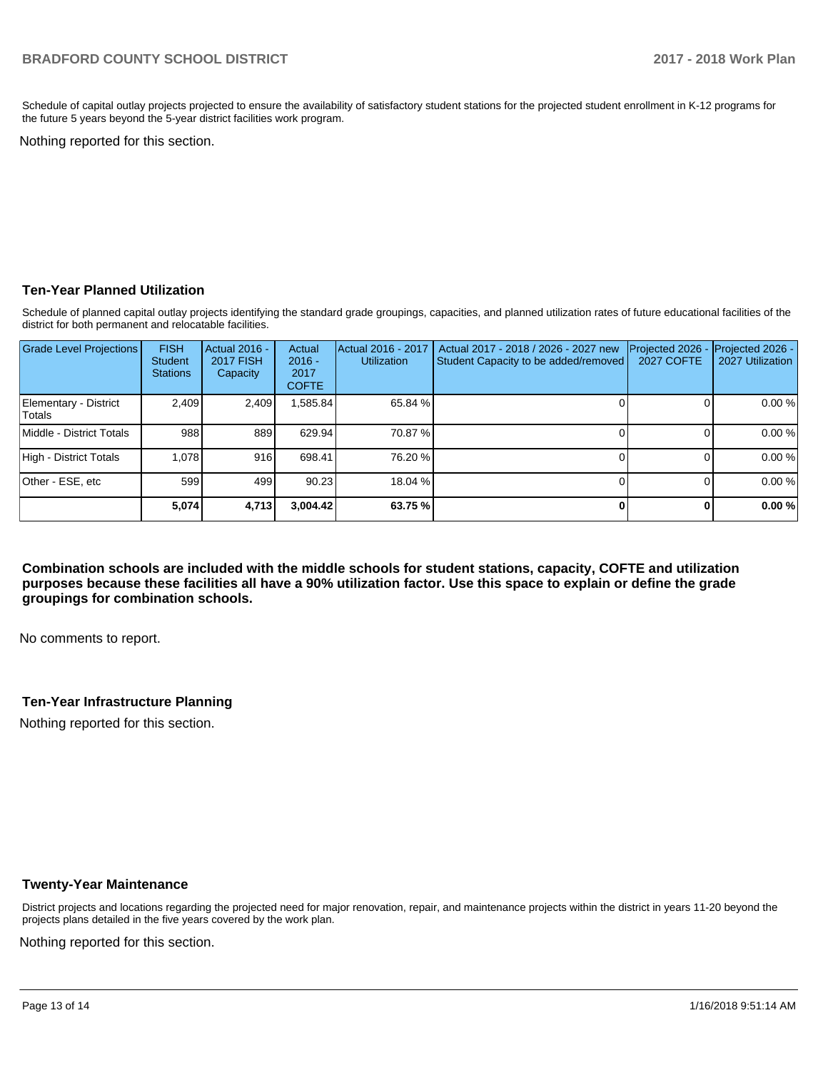Schedule of capital outlay projects projected to ensure the availability of satisfactory student stations for the projected student enrollment in K-12 programs for the future 5 years beyond the 5-year district facilities work program.

Nothing reported for this section.

### **Ten-Year Planned Utilization**

Schedule of planned capital outlay projects identifying the standard grade groupings, capacities, and planned utilization rates of future educational facilities of the district for both permanent and relocatable facilities.

| <b>Grade Level Projections</b>  | <b>FISH</b><br><b>Student</b><br><b>Stations</b> | Actual 2016 -<br><b>2017 FISH</b><br>Capacity | Actual<br>$2016 -$<br>2017<br><b>COFTE</b> | Actual 2016 - 2017<br><b>Utilization</b> | Actual 2017 - 2018 / 2026 - 2027 new<br>Student Capacity to be added/removed | Projected 2026<br><b>2027 COFTE</b> | Projected 2026 -<br>2027 Utilization |
|---------------------------------|--------------------------------------------------|-----------------------------------------------|--------------------------------------------|------------------------------------------|------------------------------------------------------------------------------|-------------------------------------|--------------------------------------|
| Elementary - District<br>Totals | 2.409                                            | 2,409                                         | ,585.84                                    | 65.84 %                                  |                                                                              |                                     | 0.00%                                |
| Middle - District Totals        | 988                                              | 889                                           | 629.94                                     | 70.87 %                                  |                                                                              |                                     | 0.00%                                |
| High - District Totals          | 1.078                                            | 916                                           | 698.41                                     | 76.20 %                                  |                                                                              |                                     | 0.00%                                |
| Other - ESE, etc                | 599                                              | 499                                           | 90.23                                      | 18.04 %                                  |                                                                              |                                     | 0.00%                                |
|                                 | 5,074                                            | 4,713                                         | 3,004.42                                   | 63.75 %                                  |                                                                              | ŋ,                                  | 0.00%                                |

**Combination schools are included with the middle schools for student stations, capacity, COFTE and utilization purposes because these facilities all have a 90% utilization factor. Use this space to explain or define the grade groupings for combination schools.** 

No comments to report.

#### **Ten-Year Infrastructure Planning**

Nothing reported for this section.

#### **Twenty-Year Maintenance**

District projects and locations regarding the projected need for major renovation, repair, and maintenance projects within the district in years 11-20 beyond the projects plans detailed in the five years covered by the work plan.

Nothing reported for this section.